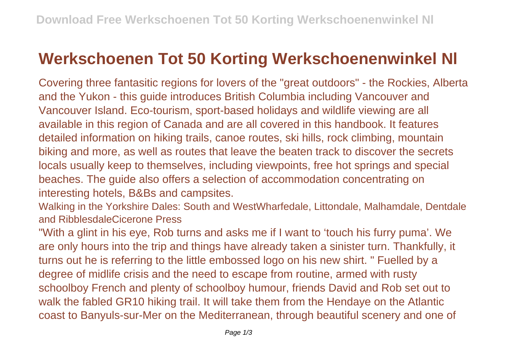## **Werkschoenen Tot 50 Korting Werkschoenenwinkel Nl**

Covering three fantasitic regions for lovers of the "great outdoors" - the Rockies, Alberta and the Yukon - this guide introduces British Columbia including Vancouver and Vancouver Island. Eco-tourism, sport-based holidays and wildlife viewing are all available in this region of Canada and are all covered in this handbook. It features detailed information on hiking trails, canoe routes, ski hills, rock climbing, mountain biking and more, as well as routes that leave the beaten track to discover the secrets locals usually keep to themselves, including viewpoints, free hot springs and special beaches. The guide also offers a selection of accommodation concentrating on interesting hotels, B&Bs and campsites.

Walking in the Yorkshire Dales: South and WestWharfedale, Littondale, Malhamdale, Dentdale and RibblesdaleCicerone Press

"With a glint in his eye, Rob turns and asks me if I want to 'touch his furry puma'. We are only hours into the trip and things have already taken a sinister turn. Thankfully, it turns out he is referring to the little embossed logo on his new shirt. " Fuelled by a degree of midlife crisis and the need to escape from routine, armed with rusty schoolboy French and plenty of schoolboy humour, friends David and Rob set out to walk the fabled GR10 hiking trail. It will take them from the Hendaye on the Atlantic coast to Banyuls-sur-Mer on the Mediterranean, through beautiful scenery and one of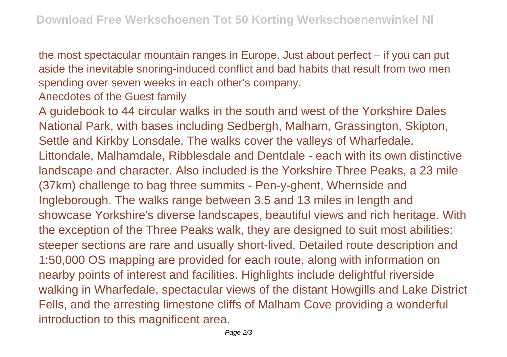the most spectacular mountain ranges in Europe. Just about perfect – if you can put aside the inevitable snoring-induced conflict and bad habits that result from two men spending over seven weeks in each other's company.

Anecdotes of the Guest family

A guidebook to 44 circular walks in the south and west of the Yorkshire Dales National Park, with bases including Sedbergh, Malham, Grassington, Skipton, Settle and Kirkby Lonsdale. The walks cover the valleys of Wharfedale, Littondale, Malhamdale, Ribblesdale and Dentdale - each with its own distinctive landscape and character. Also included is the Yorkshire Three Peaks, a 23 mile (37km) challenge to bag three summits - Pen-y-ghent, Whernside and Ingleborough. The walks range between 3.5 and 13 miles in length and showcase Yorkshire's diverse landscapes, beautiful views and rich heritage. With the exception of the Three Peaks walk, they are designed to suit most abilities: steeper sections are rare and usually short-lived. Detailed route description and 1:50,000 OS mapping are provided for each route, along with information on nearby points of interest and facilities. Highlights include delightful riverside walking in Wharfedale, spectacular views of the distant Howgills and Lake District Fells, and the arresting limestone cliffs of Malham Cove providing a wonderful introduction to this magnificent area.